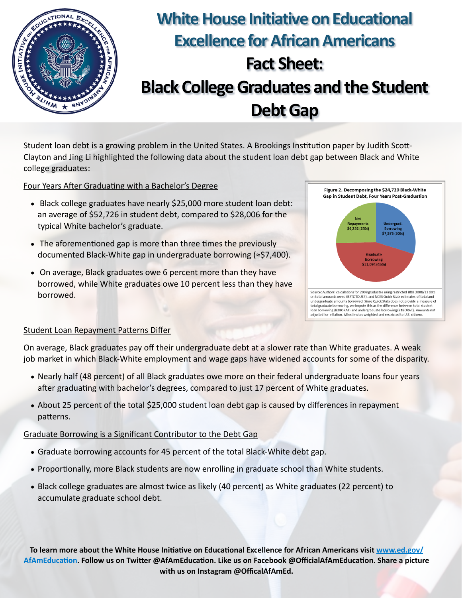

# **White House Initiative on Educational Excellence for African Americans Fact Sheet: Black College Graduates and the Student Debt Gap**

Student loan debt is a growing problem in the United States. A Brookings Institution paper by Judith Scott-Clayton and Jing Li highlighted the following data about the student loan debt gap between Black and White college graduates:

Four Years After Graduating with a Bachelor's Degree

- Black college graduates have nearly \$25,000 more student loan debt: an average of \$52,726 in student debt, compared to \$28,006 for the typical White bachelor's graduate.
- The aforementioned gap is more than three times the previously documented Black-White gap in undergraduate borrowing  $(*\$7,400)$ .
- On average, Black graduates owe 6 percent more than they have borrowed, while White graduates owe 10 percent less than they have borrowed.



# Student Loan Repayment Patterns Differ

On average, Black graduates pay off their undergraduate debt at a slower rate than White graduates. A weak job market in which Black-White employment and wage gaps have widened accounts for some of the disparity.

- Nearly half (48 percent) of all Black graduates owe more on their federal undergraduate loans four years after graduating with bachelor's degrees, compared to just 17 percent of White graduates.
- About 25 percent of the total \$25,000 student loan debt gap is caused by differences in repayment patterns.

## Graduate Borrowing is a Significant Contributor to the Debt Gap

- Graduate borrowing accounts for 45 percent of the total Black-White debt gap.
- Proportionally, more Black students are now enrolling in graduate school than White students.
- Black college graduates are almost twice as likely (40 percent) as White graduates (22 percent) to accumulate graduate school debt.

To learn more about the White House Initiative on Educational Excellence for African Americans visit www.ed.gov/ AfAmEducation. Follow us on Twitter @AfAmEducation. Like us on Facebook @OfficialAfAmEducation. Share a picture with us on Instagram @OfficalAfAmEd.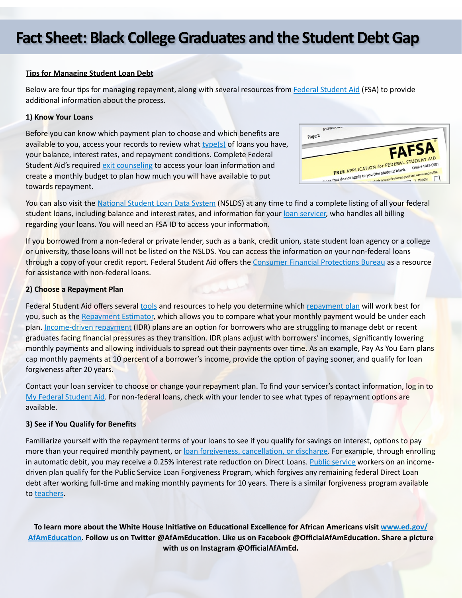# **Fact Sheet: Black College Graduates and the Student Debt Gap**

#### **Tips for Managing Student Loan Debt**

Below are four tips for managing repayment, along with several resources from Federal Student Aid (FSA) to provide additional information about the process.

#### **1) Know Your Loans**

Before you can know which payment plan to choose and which benefits are available to you, access your records to review what  $type(s)$  of loans you have, your balance, interest rates, and repayment conditions. Complete Federal Student Aid's required exit counseling to access your loan information and create a monthly budget to plan how much you will have available to put towards repayment.



You can also visit the National Student Loan Data System (NSLDS) at any time to find a complete listing of all your federal student loans, including balance and interest rates, and information for your loan servicer, who handles all billing regarding your loans. You will need an FSA ID to access your information.

If you borrowed from a non-federal or private lender, such as a bank, credit union, state student loan agency or a college or university, those loans will not be listed on the NSLDS. You can access the information on your non-federal loans through a copy of your credit report. Federal Student Aid offers the Consumer Financial Protections Bureau as a resource for assistance with non-federal loans.

#### **2) Choose a Repayment Plan**

Federal Student Aid offers several tools and resources to help you determine which repayment plan will work best for you, such as the Repayment Estimator, which allows you to compare what your monthly payment would be under each plan. Income-driven repayment (IDR) plans are an option for borrowers who are struggling to manage debt or recent graduates facing financial pressures as they transition. IDR plans adjust with borrowers' incomes, significantly lowering monthly payments and allowing individuals to spread out their payments over time. As an example, Pay As You Earn plans cap monthly payments at 10 percent of a borrower's income, provide the option of paying sooner, and qualify for loan forgiveness after 20 years.

Contact your loan servicer to choose or change your repayment plan. To find your servicer's contact information, log in to My Federal Student Aid. For non-federal loans, check with your lender to see what types of repayment options are available. 

## **3) See if You Qualify for Benefits**

Familiarize yourself with the repayment terms of your loans to see if you qualify for savings on interest, options to pay more than your required monthly payment, or loan forgiveness, cancellation, or discharge. For example, through enrolling in automatic debit, you may receive a 0.25% interest rate reduction on Direct Loans. Public service workers on an incomedriven plan qualify for the Public Service Loan Forgiveness Program, which forgives any remaining federal Direct Loan debt after working full-time and making monthly payments for 10 years. There is a similar forgiveness program available to [teachers](https://studentaid.ed.gov/sa/repay-loans/forgiveness-cancellation/teacher).

To learn more about the White House Initiative on Educational Excellence for African Americans visit www.ed.gov/ AfAmEducation. Follow us on Twitter @AfAmEducation. Like us on Facebook @OfficialAfAmEducation. Share a picture with us on Instagram @OfficialAfAmEd.